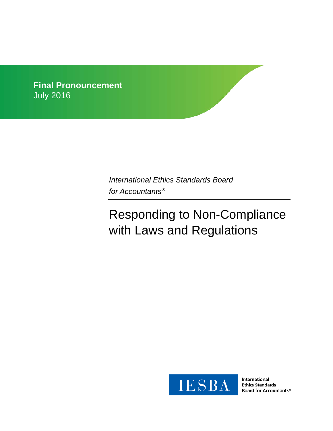

*International Ethics Standards Board for Accountants®*

# Responding to Non-Compliance with Laws and Regulations



International **Ethics Standards Board for Accountants®**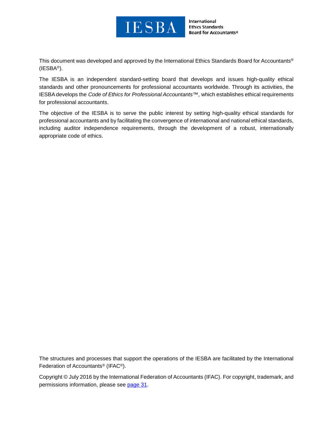

International **Ethics Standards** Board for Accountants®

This document was developed and approved by the International Ethics Standards Board for Accountants® (IESBA®).

The IESBA is an independent standard-setting board that develops and issues high-quality ethical standards and other pronouncements for professional accountants worldwide. Through its activities, the IESBA develops the *Code of Ethics for Professional Accountants™*, which establishes ethical requirements for professional accountants.

The objective of the IESBA is to serve the public interest by setting high-quality ethical standards for professional accountants and by facilitating the convergence of international and national ethical standards, including auditor independence requirements, through the development of a robust, internationally appropriate code of ethics.

The structures and processes that support the operations of the IESBA are facilitated by the International Federation of Accountants® (IFAC®).

Copyright © July 2016 by the International Federation of Accountants (IFAC). For copyright, trademark, and permissions information, please see [page 31.](#page-30-0)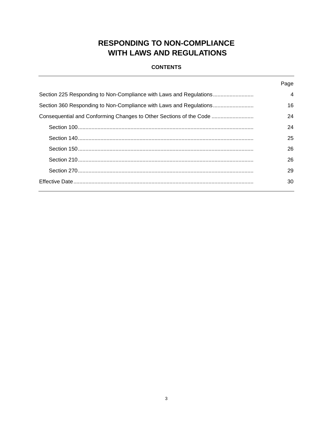# **RESPONDING TO NON-COMPLIANCE WITH LAWS AND REGULATIONS**

## **CONTENTS**

|                                                                    | Page           |
|--------------------------------------------------------------------|----------------|
| Section 225 Responding to Non-Compliance with Laws and Regulations | $\overline{4}$ |
| Section 360 Responding to Non-Compliance with Laws and Regulations | 16             |
| Consequential and Conforming Changes to Other Sections of the Code | 24             |
|                                                                    | 24             |
|                                                                    | 25             |
|                                                                    | 26             |
|                                                                    | 26             |
|                                                                    | 29             |
|                                                                    | 30             |
|                                                                    |                |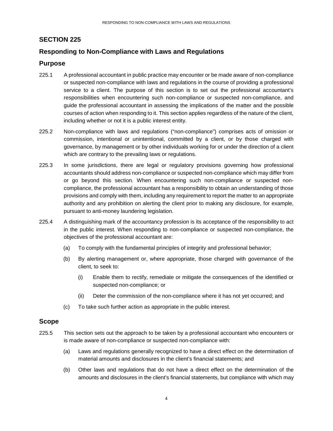## <span id="page-3-0"></span>**SECTION 225**

## **Responding to Non-Compliance with Laws and Regulations**

## **Purpose**

- 225.1 A professional accountant in public practice may encounter or be made aware of non-compliance or suspected non-compliance with laws and regulations in the course of providing a professional service to a client. The purpose of this section is to set out the professional accountant's responsibilities when encountering such non-compliance or suspected non-compliance, and guide the professional accountant in assessing the implications of the matter and the possible courses of action when responding to it. This section applies regardless of the nature of the client, including whether or not it is a public interest entity.
- 225.2 Non-compliance with laws and regulations ("non-compliance") comprises acts of omission or commission, intentional or unintentional, committed by a client, or by those charged with governance, by management or by other individuals working for or under the direction of a client which are contrary to the prevailing laws or regulations.
- 225.3 In some jurisdictions, there are legal or regulatory provisions governing how professional accountants should address non-compliance or suspected non-compliance which may differ from or go beyond this section. When encountering such non-compliance or suspected noncompliance, the professional accountant has a responsibility to obtain an understanding of those provisions and comply with them, including any requirement to report the matter to an appropriate authority and any prohibition on alerting the client prior to making any disclosure, for example, pursuant to anti-money laundering legislation.
- 225.4 A distinguishing mark of the accountancy profession is its acceptance of the responsibility to act in the public interest. When responding to non-compliance or suspected non-compliance, the objectives of the professional accountant are:
	- (a) To comply with the fundamental principles of integrity and professional behavior;
	- (b) By alerting management or, where appropriate, those charged with governance of the client, to seek to:
		- (i) Enable them to rectify, remediate or mitigate the consequences of the identified or suspected non-compliance; or
		- (ii) Deter the commission of the non-compliance where it has not yet occurred; and
	- (c) To take such further action as appropriate in the public interest.

#### **Scope**

- 225.5 This section sets out the approach to be taken by a professional accountant who encounters or is made aware of non-compliance or suspected non-compliance with:
	- (a) Laws and regulations generally recognized to have a direct effect on the determination of material amounts and disclosures in the client's financial statements; and
	- (b) Other laws and regulations that do not have a direct effect on the determination of the amounts and disclosures in the client's financial statements, but compliance with which may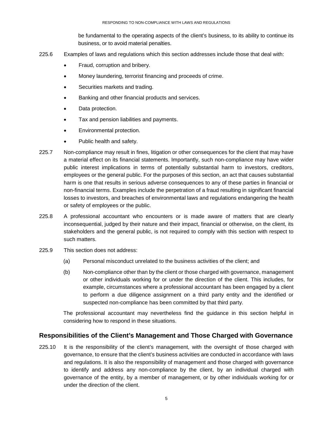be fundamental to the operating aspects of the client's business, to its ability to continue its business, or to avoid material penalties.

- 225.6 Examples of laws and regulations which this section addresses include those that deal with:
	- Fraud, corruption and bribery.
	- Money laundering, terrorist financing and proceeds of crime.
	- Securities markets and trading.
	- Banking and other financial products and services.
	- Data protection.
	- Tax and pension liabilities and payments.
	- Environmental protection.
	- Public health and safety.
- 225.7 Non-compliance may result in fines, litigation or other consequences for the client that may have a material effect on its financial statements. Importantly, such non-compliance may have wider public interest implications in terms of potentially substantial harm to investors, creditors, employees or the general public. For the purposes of this section, an act that causes substantial harm is one that results in serious adverse consequences to any of these parties in financial or non-financial terms. Examples include the perpetration of a fraud resulting in significant financial losses to investors, and breaches of environmental laws and regulations endangering the health or safety of employees or the public.
- 225.8 A professional accountant who encounters or is made aware of matters that are clearly inconsequential, judged by their nature and their impact, financial or otherwise, on the client, its stakeholders and the general public, is not required to comply with this section with respect to such matters.
- 225.9 This section does not address:
	- (a) Personal misconduct unrelated to the business activities of the client; and
	- (b) Non-compliance other than by the client or those charged with governance, management or other individuals working for or under the direction of the client. This includes, for example, circumstances where a professional accountant has been engaged by a client to perform a due diligence assignment on a third party entity and the identified or suspected non-compliance has been committed by that third party.

The professional accountant may nevertheless find the guidance in this section helpful in considering how to respond in these situations.

## **Responsibilities of the Client's Management and Those Charged with Governance**

225.10 It is the responsibility of the client's management, with the oversight of those charged with governance, to ensure that the client's business activities are conducted in accordance with laws and regulations. It is also the responsibility of management and those charged with governance to identify and address any non-compliance by the client, by an individual charged with governance of the entity, by a member of management, or by other individuals working for or under the direction of the client.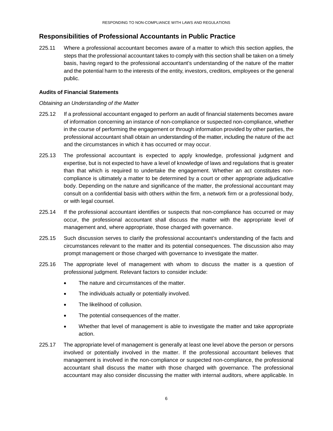## **Responsibilities of Professional Accountants in Public Practice**

225.11 Where a professional accountant becomes aware of a matter to which this section applies, the steps that the professional accountant takes to comply with this section shall be taken on a timely basis, having regard to the professional accountant's understanding of the nature of the matter and the potential harm to the interests of the entity, investors, creditors, employees or the general public.

#### **Audits of Financial Statements**

#### *Obtaining an Understanding of the Matter*

- 225.12 If a professional accountant engaged to perform an audit of financial statements becomes aware of information concerning an instance of non-compliance or suspected non-compliance, whether in the course of performing the engagement or through information provided by other parties, the professional accountant shall obtain an understanding of the matter, including the nature of the act and the circumstances in which it has occurred or may occur.
- 225.13 The professional accountant is expected to apply knowledge, professional judgment and expertise, but is not expected to have a level of knowledge of laws and regulations that is greater than that which is required to undertake the engagement. Whether an act constitutes noncompliance is ultimately a matter to be determined by a court or other appropriate adjudicative body. Depending on the nature and significance of the matter, the professional accountant may consult on a confidential basis with others within the firm, a network firm or a professional body, or with legal counsel.
- 225.14 If the professional accountant identifies or suspects that non-compliance has occurred or may occur, the professional accountant shall discuss the matter with the appropriate level of management and, where appropriate, those charged with governance.
- 225.15 Such discussion serves to clarify the professional accountant's understanding of the facts and circumstances relevant to the matter and its potential consequences. The discussion also may prompt management or those charged with governance to investigate the matter.
- 225.16 The appropriate level of management with whom to discuss the matter is a question of professional judgment. Relevant factors to consider include:
	- The nature and circumstances of the matter.
	- The individuals actually or potentially involved.
	- The likelihood of collusion.
	- The potential consequences of the matter.
	- Whether that level of management is able to investigate the matter and take appropriate action.
- 225.17 The appropriate level of management is generally at least one level above the person or persons involved or potentially involved in the matter. If the professional accountant believes that management is involved in the non-compliance or suspected non-compliance, the professional accountant shall discuss the matter with those charged with governance. The professional accountant may also consider discussing the matter with internal auditors, where applicable. In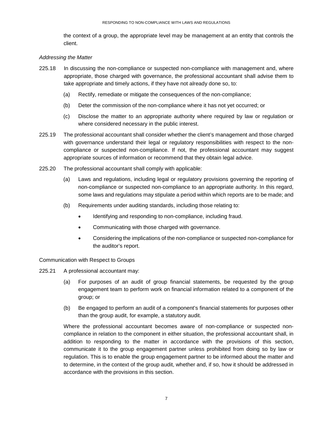the context of a group, the appropriate level may be management at an entity that controls the client.

#### *Addressing the Matter*

- 225.18 In discussing the non-compliance or suspected non-compliance with management and, where appropriate, those charged with governance, the professional accountant shall advise them to take appropriate and timely actions, if they have not already done so, to:
	- (a) Rectify, remediate or mitigate the consequences of the non-compliance;
	- (b) Deter the commission of the non-compliance where it has not yet occurred; or
	- (c) Disclose the matter to an appropriate authority where required by law or regulation or where considered necessary in the public interest.
- 225.19 The professional accountant shall consider whether the client's management and those charged with governance understand their legal or regulatory responsibilities with respect to the noncompliance or suspected non-compliance. If not, the professional accountant may suggest appropriate sources of information or recommend that they obtain legal advice.
- 225.20 The professional accountant shall comply with applicable:
	- (a) Laws and regulations, including legal or regulatory provisions governing the reporting of non-compliance or suspected non-compliance to an appropriate authority. In this regard, some laws and regulations may stipulate a period within which reports are to be made; and
	- (b) Requirements under auditing standards, including those relating to:
		- Identifying and responding to non-compliance, including fraud.
		- Communicating with those charged with governance.
		- Considering the implications of the non-compliance or suspected non-compliance for the auditor's report.

Communication with Respect to Groups

- 225.21 A professional accountant may:
	- (a) For purposes of an audit of group financial statements, be requested by the group engagement team to perform work on financial information related to a component of the group; or
	- (b) Be engaged to perform an audit of a component's financial statements for purposes other than the group audit, for example, a statutory audit.

Where the professional accountant becomes aware of non-compliance or suspected noncompliance in relation to the component in either situation, the professional accountant shall, in addition to responding to the matter in accordance with the provisions of this section, communicate it to the group engagement partner unless prohibited from doing so by law or regulation. This is to enable the group engagement partner to be informed about the matter and to determine, in the context of the group audit, whether and, if so, how it should be addressed in accordance with the provisions in this section.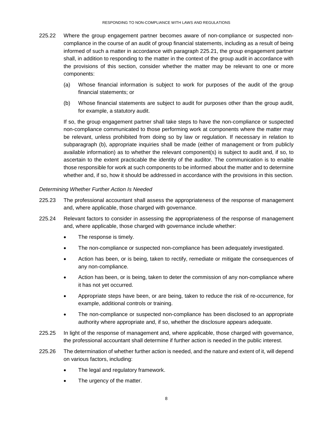- 225.22 Where the group engagement partner becomes aware of non-compliance or suspected noncompliance in the course of an audit of group financial statements, including as a result of being informed of such a matter in accordance with paragraph 225.21, the group engagement partner shall, in addition to responding to the matter in the context of the group audit in accordance with the provisions of this section, consider whether the matter may be relevant to one or more components:
	- (a) Whose financial information is subject to work for purposes of the audit of the group financial statements; or
	- (b) Whose financial statements are subject to audit for purposes other than the group audit, for example, a statutory audit.

If so, the group engagement partner shall take steps to have the non-compliance or suspected non-compliance communicated to those performing work at components where the matter may be relevant, unless prohibited from doing so by law or regulation. If necessary in relation to subparagraph (b), appropriate inquiries shall be made (either of management or from publicly available information) as to whether the relevant component(s) is subject to audit and, if so, to ascertain to the extent practicable the identity of the auditor. The communication is to enable those responsible for work at such components to be informed about the matter and to determine whether and, if so, how it should be addressed in accordance with the provisions in this section.

#### *Determining Whether Further Action Is Needed*

- 225.23 The professional accountant shall assess the appropriateness of the response of management and, where applicable, those charged with governance.
- 225.24 Relevant factors to consider in assessing the appropriateness of the response of management and, where applicable, those charged with governance include whether:
	- The response is timely.
	- The non-compliance or suspected non-compliance has been adequately investigated.
	- Action has been, or is being, taken to rectify, remediate or mitigate the consequences of any non-compliance.
	- Action has been, or is being, taken to deter the commission of any non-compliance where it has not yet occurred.
	- Appropriate steps have been, or are being, taken to reduce the risk of re-occurrence, for example, additional controls or training.
	- The non-compliance or suspected non-compliance has been disclosed to an appropriate authority where appropriate and, if so, whether the disclosure appears adequate.
- 225.25 In light of the response of management and, where applicable, those charged with governance, the professional accountant shall determine if further action is needed in the public interest.
- 225.26 The determination of whether further action is needed, and the nature and extent of it, will depend on various factors, including:
	- The legal and regulatory framework.
	- The urgency of the matter.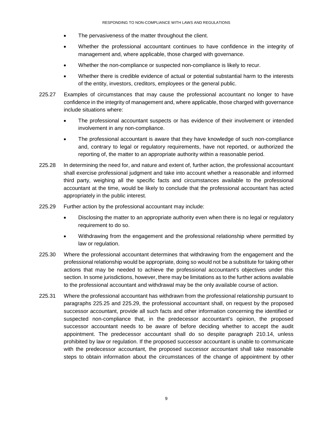- The pervasiveness of the matter throughout the client.
- Whether the professional accountant continues to have confidence in the integrity of management and, where applicable, those charged with governance.
- Whether the non-compliance or suspected non-compliance is likely to recur.
- Whether there is credible evidence of actual or potential substantial harm to the interests of the entity, investors, creditors, employees or the general public.
- 225.27 Examples of circumstances that may cause the professional accountant no longer to have confidence in the integrity of management and, where applicable, those charged with governance include situations where:
	- The professional accountant suspects or has evidence of their involvement or intended involvement in any non-compliance.
	- The professional accountant is aware that they have knowledge of such non-compliance and, contrary to legal or regulatory requirements, have not reported, or authorized the reporting of, the matter to an appropriate authority within a reasonable period.
- 225.28 In determining the need for, and nature and extent of, further action, the professional accountant shall exercise professional judgment and take into account whether a reasonable and informed third party, weighing all the specific facts and circumstances available to the professional accountant at the time, would be likely to conclude that the professional accountant has acted appropriately in the public interest.
- 225.29 Further action by the professional accountant may include:
	- Disclosing the matter to an appropriate authority even when there is no legal or regulatory requirement to do so.
	- Withdrawing from the engagement and the professional relationship where permitted by law or regulation.
- 225.30 Where the professional accountant determines that withdrawing from the engagement and the professional relationship would be appropriate, doing so would not be a substitute for taking other actions that may be needed to achieve the professional accountant's objectives under this section. In some jurisdictions, however, there may be limitations as to the further actions available to the professional accountant and withdrawal may be the only available course of action.
- 225.31 Where the professional accountant has withdrawn from the professional relationship pursuant to paragraphs 225.25 and 225.29, the professional accountant shall, on request by the proposed successor accountant, provide all such facts and other information concerning the identified or suspected non-compliance that, in the predecessor accountant's opinion, the proposed successor accountant needs to be aware of before deciding whether to accept the audit appointment. The predecessor accountant shall do so despite paragraph 210.14, unless prohibited by law or regulation. If the proposed successor accountant is unable to communicate with the predecessor accountant, the proposed successor accountant shall take reasonable steps to obtain information about the circumstances of the change of appointment by other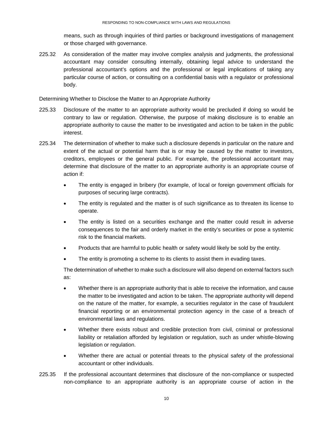means, such as through inquiries of third parties or background investigations of management or those charged with governance.

225.32 As consideration of the matter may involve complex analysis and judgments, the professional accountant may consider consulting internally, obtaining legal advice to understand the professional accountant's options and the professional or legal implications of taking any particular course of action, or consulting on a confidential basis with a regulator or professional body.

Determining Whether to Disclose the Matter to an Appropriate Authority

- 225.33 Disclosure of the matter to an appropriate authority would be precluded if doing so would be contrary to law or regulation. Otherwise, the purpose of making disclosure is to enable an appropriate authority to cause the matter to be investigated and action to be taken in the public interest.
- 225.34 The determination of whether to make such a disclosure depends in particular on the nature and extent of the actual or potential harm that is or may be caused by the matter to investors, creditors, employees or the general public. For example, the professional accountant may determine that disclosure of the matter to an appropriate authority is an appropriate course of action if:
	- The entity is engaged in bribery (for example, of local or foreign government officials for purposes of securing large contracts).
	- The entity is regulated and the matter is of such significance as to threaten its license to operate.
	- The entity is listed on a securities exchange and the matter could result in adverse consequences to the fair and orderly market in the entity's securities or pose a systemic risk to the financial markets.
	- Products that are harmful to public health or safety would likely be sold by the entity.
	- The entity is promoting a scheme to its clients to assist them in evading taxes.

The determination of whether to make such a disclosure will also depend on external factors such as:

- Whether there is an appropriate authority that is able to receive the information, and cause the matter to be investigated and action to be taken. The appropriate authority will depend on the nature of the matter, for example, a securities regulator in the case of fraudulent financial reporting or an environmental protection agency in the case of a breach of environmental laws and regulations.
- Whether there exists robust and credible protection from civil, criminal or professional liability or retaliation afforded by legislation or regulation, such as under whistle-blowing legislation or regulation.
- Whether there are actual or potential threats to the physical safety of the professional accountant or other individuals.
- 225.35 If the professional accountant determines that disclosure of the non-compliance or suspected non-compliance to an appropriate authority is an appropriate course of action in the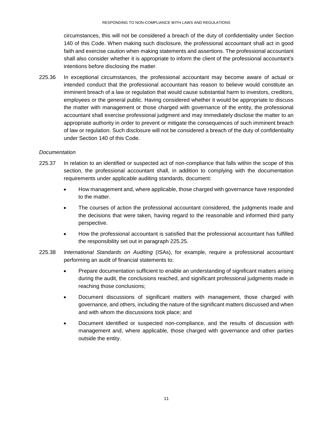circumstances, this will not be considered a breach of the duty of confidentiality under Section 140 of this Code. When making such disclosure, the professional accountant shall act in good faith and exercise caution when making statements and assertions. The professional accountant shall also consider whether it is appropriate to inform the client of the professional accountant's intentions before disclosing the matter.

225.36 In exceptional circumstances, the professional accountant may become aware of actual or intended conduct that the professional accountant has reason to believe would constitute an imminent breach of a law or regulation that would cause substantial harm to investors, creditors, employees or the general public. Having considered whether it would be appropriate to discuss the matter with management or those charged with governance of the entity, the professional accountant shall exercise professional judgment and may immediately disclose the matter to an appropriate authority in order to prevent or mitigate the consequences of such imminent breach of law or regulation. Such disclosure will not be considered a breach of the duty of confidentiality under Section 140 of this Code.

#### *Documentation*

- 225.37 In relation to an identified or suspected act of non-compliance that falls within the scope of this section, the professional accountant shall, in addition to complying with the documentation requirements under applicable auditing standards, document:
	- How management and, where applicable, those charged with governance have responded to the matter.
	- The courses of action the professional accountant considered, the judgments made and the decisions that were taken, having regard to the reasonable and informed third party perspective.
	- How the professional accountant is satisfied that the professional accountant has fulfilled the responsibility set out in paragraph 225.25.
- 225.38 *International Standards on Auditing* (ISAs), for example, require a professional accountant performing an audit of financial statements to:
	- Prepare documentation sufficient to enable an understanding of significant matters arising during the audit, the conclusions reached, and significant professional judgments made in reaching those conclusions;
	- Document discussions of significant matters with management, those charged with governance, and others, including the nature of the significant matters discussed and when and with whom the discussions took place; and
	- Document identified or suspected non-compliance, and the results of discussion with management and, where applicable, those charged with governance and other parties outside the entity.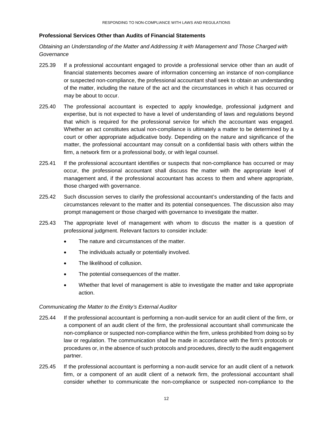#### **Professional Services Other than Audits of Financial Statements**

*Obtaining an Understanding of the Matter and Addressing It with Management and Those Charged with Governance*

- 225.39 If a professional accountant engaged to provide a professional service other than an audit of financial statements becomes aware of information concerning an instance of non-compliance or suspected non-compliance, the professional accountant shall seek to obtain an understanding of the matter, including the nature of the act and the circumstances in which it has occurred or may be about to occur.
- 225.40 The professional accountant is expected to apply knowledge, professional judgment and expertise, but is not expected to have a level of understanding of laws and regulations beyond that which is required for the professional service for which the accountant was engaged. Whether an act constitutes actual non-compliance is ultimately a matter to be determined by a court or other appropriate adjudicative body. Depending on the nature and significance of the matter, the professional accountant may consult on a confidential basis with others within the firm, a network firm or a professional body, or with legal counsel.
- 225.41 If the professional accountant identifies or suspects that non-compliance has occurred or may occur, the professional accountant shall discuss the matter with the appropriate level of management and, if the professional accountant has access to them and where appropriate, those charged with governance.
- 225.42 Such discussion serves to clarify the professional accountant's understanding of the facts and circumstances relevant to the matter and its potential consequences. The discussion also may prompt management or those charged with governance to investigate the matter.
- 225.43 The appropriate level of management with whom to discuss the matter is a question of professional judgment. Relevant factors to consider include:
	- The nature and circumstances of the matter.
	- The individuals actually or potentially involved.
	- The likelihood of collusion.
	- The potential consequences of the matter.
	- Whether that level of management is able to investigate the matter and take appropriate action.

#### *Communicating the Matter to the Entity's External Auditor*

- 225.44 If the professional accountant is performing a non-audit service for an audit client of the firm, or a component of an audit client of the firm, the professional accountant shall communicate the non-compliance or suspected non-compliance within the firm, unless prohibited from doing so by law or regulation. The communication shall be made in accordance with the firm's protocols or procedures or, in the absence of such protocols and procedures, directly to the audit engagement partner.
- 225.45 If the professional accountant is performing a non-audit service for an audit client of a network firm, or a component of an audit client of a network firm, the professional accountant shall consider whether to communicate the non-compliance or suspected non-compliance to the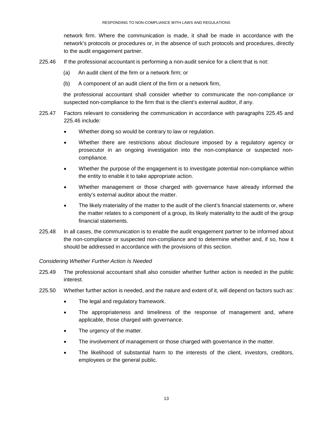network firm. Where the communication is made, it shall be made in accordance with the network's protocols or procedures or, in the absence of such protocols and procedures, directly to the audit engagement partner.

- 225.46 If the professional accountant is performing a non-audit service for a client that is not:
	- (a) An audit client of the firm or a network firm; or
	- (b) A component of an audit client of the firm or a network firm,

the professional accountant shall consider whether to communicate the non-compliance or suspected non-compliance to the firm that is the client's external auditor, if any.

- 225.47 Factors relevant to considering the communication in accordance with paragraphs 225.45 and 225.46 include:
	- Whether doing so would be contrary to law or regulation.
	- Whether there are restrictions about disclosure imposed by a regulatory agency or prosecutor in an ongoing investigation into the non-compliance or suspected noncompliance.
	- Whether the purpose of the engagement is to investigate potential non-compliance within the entity to enable it to take appropriate action.
	- Whether management or those charged with governance have already informed the entity's external auditor about the matter.
	- The likely materiality of the matter to the audit of the client's financial statements or, where the matter relates to a component of a group, its likely materiality to the audit of the group financial statements.
- 225.48 In all cases, the communication is to enable the audit engagement partner to be informed about the non-compliance or suspected non-compliance and to determine whether and, if so, how it should be addressed in accordance with the provisions of this section.

#### *Considering Whether Further Action Is Needed*

- 225.49 The professional accountant shall also consider whether further action is needed in the public interest.
- 225.50 Whether further action is needed, and the nature and extent of it, will depend on factors such as:
	- The legal and regulatory framework.
	- The appropriateness and timeliness of the response of management and, where applicable, those charged with governance.
	- The urgency of the matter.
	- The involvement of management or those charged with governance in the matter.
	- The likelihood of substantial harm to the interests of the client, investors, creditors, employees or the general public.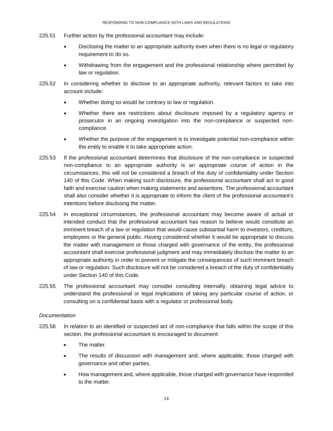- 225.51 Further action by the professional accountant may include:
	- Disclosing the matter to an appropriate authority even when there is no legal or regulatory requirement to do so.
	- Withdrawing from the engagement and the professional relationship where permitted by law or regulation.
- 225.52 In considering whether to disclose to an appropriate authority, relevant factors to take into account include:
	- Whether doing so would be contrary to law or regulation.
	- Whether there are restrictions about disclosure imposed by a regulatory agency or prosecutor in an ongoing investigation into the non-compliance or suspected noncompliance.
	- Whether the purpose of the engagement is to investigate potential non-compliance within the entity to enable it to take appropriate action.
- 225.53 If the professional accountant determines that disclosure of the non-compliance or suspected non-compliance to an appropriate authority is an appropriate course of action in the circumstances, this will not be considered a breach of the duty of confidentiality under Section 140 of this Code. When making such disclosure, the professional accountant shall act in good faith and exercise caution when making statements and assertions. The professional accountant shall also consider whether it is appropriate to inform the client of the professional accountant's intentions before disclosing the matter.
- 225.54 In exceptional circumstances, the professional accountant may become aware of actual or intended conduct that the professional accountant has reason to believe would constitute an imminent breach of a law or regulation that would cause substantial harm to investors, creditors, employees or the general public. Having considered whether it would be appropriate to discuss the matter with management or those charged with governance of the entity, the professional accountant shall exercise professional judgment and may immediately disclose the matter to an appropriate authority in order to prevent or mitigate the consequences of such imminent breach of law or regulation. Such disclosure will not be considered a breach of the duty of confidentiality under Section 140 of this Code.
- 225.55 The professional accountant may consider consulting internally, obtaining legal advice to understand the professional or legal implications of taking any particular course of action, or consulting on a confidential basis with a regulator or professional body.

#### *Documentation*

- 225.56 In relation to an identified or suspected act of non-compliance that falls within the scope of this section, the professional accountant is encouraged to document:
	- The matter.
	- The results of discussion with management and, where applicable, those charged with governance and other parties.
	- How management and, where applicable, those charged with governance have responded to the matter.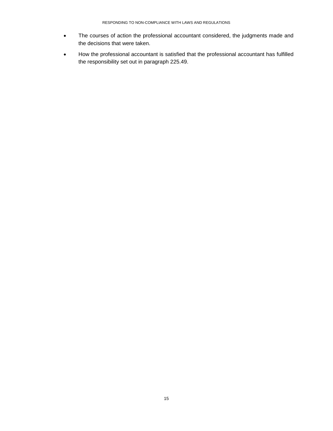- The courses of action the professional accountant considered, the judgments made and the decisions that were taken.
- How the professional accountant is satisfied that the professional accountant has fulfilled the responsibility set out in paragraph 225.49.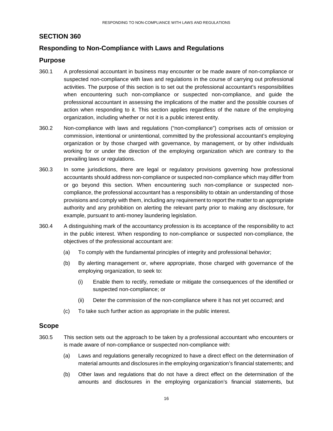## <span id="page-15-0"></span>**SECTION 360**

## **Responding to Non-Compliance with Laws and Regulations**

#### **Purpose**

- 360.1 A professional accountant in business may encounter or be made aware of non-compliance or suspected non-compliance with laws and regulations in the course of carrying out professional activities. The purpose of this section is to set out the professional accountant's responsibilities when encountering such non-compliance or suspected non-compliance, and guide the professional accountant in assessing the implications of the matter and the possible courses of action when responding to it. This section applies regardless of the nature of the employing organization, including whether or not it is a public interest entity.
- 360.2 Non-compliance with laws and regulations ("non-compliance") comprises acts of omission or commission, intentional or unintentional, committed by the professional accountant's employing organization or by those charged with governance, by management, or by other individuals working for or under the direction of the employing organization which are contrary to the prevailing laws or regulations.
- 360.3 In some jurisdictions, there are legal or regulatory provisions governing how professional accountants should address non-compliance or suspected non-compliance which may differ from or go beyond this section. When encountering such non-compliance or suspected noncompliance, the professional accountant has a responsibility to obtain an understanding of those provisions and comply with them, including any requirement to report the matter to an appropriate authority and any prohibition on alerting the relevant party prior to making any disclosure, for example, pursuant to anti-money laundering legislation.
- 360.4 A distinguishing mark of the accountancy profession is its acceptance of the responsibility to act in the public interest. When responding to non-compliance or suspected non-compliance, the objectives of the professional accountant are:
	- (a) To comply with the fundamental principles of integrity and professional behavior;
	- (b) By alerting management or, where appropriate, those charged with governance of the employing organization, to seek to:
		- (i) Enable them to rectify, remediate or mitigate the consequences of the identified or suspected non-compliance; or
		- (ii) Deter the commission of the non-compliance where it has not yet occurred; and
	- (c) To take such further action as appropriate in the public interest.

#### **Scope**

- 360.5 This section sets out the approach to be taken by a professional accountant who encounters or is made aware of non-compliance or suspected non-compliance with:
	- (a) Laws and regulations generally recognized to have a direct effect on the determination of material amounts and disclosures in the employing organization's financial statements; and
	- (b) Other laws and regulations that do not have a direct effect on the determination of the amounts and disclosures in the employing organization's financial statements, but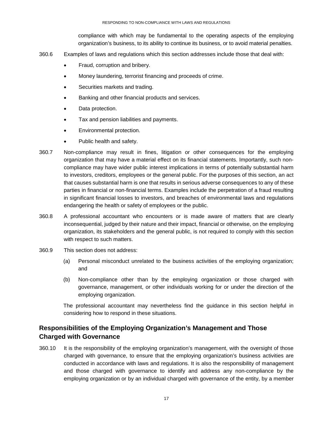compliance with which may be fundamental to the operating aspects of the employing organization's business, to its ability to continue its business, or to avoid material penalties.

- 360.6 Examples of laws and regulations which this section addresses include those that deal with:
	- Fraud, corruption and bribery.
	- Money laundering, terrorist financing and proceeds of crime.
	- Securities markets and trading.
	- Banking and other financial products and services.
	- Data protection.
	- Tax and pension liabilities and payments.
	- Environmental protection.
	- Public health and safety.
- 360.7 Non-compliance may result in fines, litigation or other consequences for the employing organization that may have a material effect on its financial statements. Importantly, such noncompliance may have wider public interest implications in terms of potentially substantial harm to investors, creditors, employees or the general public. For the purposes of this section, an act that causes substantial harm is one that results in serious adverse consequences to any of these parties in financial or non-financial terms. Examples include the perpetration of a fraud resulting in significant financial losses to investors, and breaches of environmental laws and regulations endangering the health or safety of employees or the public.
- 360.8 A professional accountant who encounters or is made aware of matters that are clearly inconsequential, judged by their nature and their impact, financial or otherwise, on the employing organization, its stakeholders and the general public, is not required to comply with this section with respect to such matters.
- 360.9 This section does not address:
	- (a) Personal misconduct unrelated to the business activities of the employing organization; and
	- (b) Non-compliance other than by the employing organization or those charged with governance, management, or other individuals working for or under the direction of the employing organization.

The professional accountant may nevertheless find the guidance in this section helpful in considering how to respond in these situations.

## **Responsibilities of the Employing Organization's Management and Those Charged with Governance**

360.10 It is the responsibility of the employing organization's management, with the oversight of those charged with governance, to ensure that the employing organization's business activities are conducted in accordance with laws and regulations. It is also the responsibility of management and those charged with governance to identify and address any non-compliance by the employing organization or by an individual charged with governance of the entity, by a member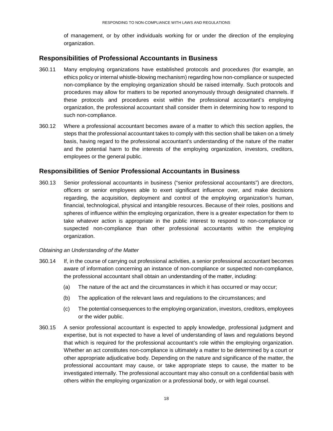of management, or by other individuals working for or under the direction of the employing organization.

## **Responsibilities of Professional Accountants in Business**

- 360.11 Many employing organizations have established protocols and procedures (for example, an ethics policy or internal whistle-blowing mechanism) regarding how non-compliance or suspected non-compliance by the employing organization should be raised internally. Such protocols and procedures may allow for matters to be reported anonymously through designated channels. If these protocols and procedures exist within the professional accountant's employing organization, the professional accountant shall consider them in determining how to respond to such non-compliance.
- 360.12 Where a professional accountant becomes aware of a matter to which this section applies, the steps that the professional accountant takes to comply with this section shall be taken on a timely basis, having regard to the professional accountant's understanding of the nature of the matter and the potential harm to the interests of the employing organization, investors, creditors, employees or the general public.

#### **Responsibilities of Senior Professional Accountants in Business**

360.13 Senior professional accountants in business ("senior professional accountants") are directors, officers or senior employees able to exert significant influence over, and make decisions regarding, the acquisition, deployment and control of the employing organization's human, financial, technological, physical and intangible resources. Because of their roles, positions and spheres of influence within the employing organization, there is a greater expectation for them to take whatever action is appropriate in the public interest to respond to non-compliance or suspected non-compliance than other professional accountants within the employing organization.

#### *Obtaining an Understanding of the Matter*

- 360.14 If, in the course of carrying out professional activities, a senior professional accountant becomes aware of information concerning an instance of non-compliance or suspected non-compliance, the professional accountant shall obtain an understanding of the matter, including:
	- (a) The nature of the act and the circumstances in which it has occurred or may occur;
	- (b) The application of the relevant laws and regulations to the circumstances; and
	- (c) The potential consequences to the employing organization, investors, creditors, employees or the wider public.
- 360.15 A senior professional accountant is expected to apply knowledge, professional judgment and expertise, but is not expected to have a level of understanding of laws and regulations beyond that which is required for the professional accountant's role within the employing organization. Whether an act constitutes non-compliance is ultimately a matter to be determined by a court or other appropriate adjudicative body. Depending on the nature and significance of the matter, the professional accountant may cause, or take appropriate steps to cause, the matter to be investigated internally. The professional accountant may also consult on a confidential basis with others within the employing organization or a professional body, or with legal counsel.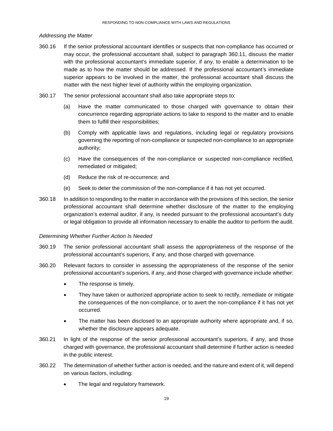#### *Addressing the Matter*

- 360.16 If the senior professional accountant identifies or suspects that non-compliance has occurred or may occur, the professional accountant shall, subject to paragraph 360.11, discuss the matter with the professional accountant's immediate superior, if any, to enable a determination to be made as to how the matter should be addressed. If the professional accountant's immediate superior appears to be involved in the matter, the professional accountant shall discuss the matter with the next higher level of authority within the employing organization.
- 360.17 The senior professional accountant shall also take appropriate steps to:
	- (a) Have the matter communicated to those charged with governance to obtain their concurrence regarding appropriate actions to take to respond to the matter and to enable them to fulfill their responsibilities;
	- (b) Comply with applicable laws and regulations, including legal or regulatory provisions governing the reporting of non-compliance or suspected non-compliance to an appropriate authority;
	- (c) Have the consequences of the non-compliance or suspected non-compliance rectified, remediated or mitigated;
	- (d) Reduce the risk of re-occurrence; and
	- (e) Seek to deter the commission of the non-compliance if it has not yet occurred.
- 360.18 In addition to responding to the matter in accordance with the provisions of this section, the senior professional accountant shall determine whether disclosure of the matter to the employing organization's external auditor, if any, is needed pursuant to the professional accountant's duty or legal obligation to provide all information necessary to enable the auditor to perform the audit.

#### *Determining Whether Further Action Is Needed*

- 360.19 The senior professional accountant shall assess the appropriateness of the response of the professional accountant's superiors, if any, and those charged with governance.
- 360.20 Relevant factors to consider in assessing the appropriateness of the response of the senior professional accountant's superiors, if any, and those charged with governance include whether:
	- The response is timely.
	- They have taken or authorized appropriate action to seek to rectify, remediate or mitigate the consequences of the non-compliance, or to avert the non-compliance if it has not yet occurred.
	- The matter has been disclosed to an appropriate authority where appropriate and, if so, whether the disclosure appears adequate.
- 360.21 In light of the response of the senior professional accountant's superiors, if any, and those charged with governance, the professional accountant shall determine if further action is needed in the public interest.
- 360.22 The determination of whether further action is needed, and the nature and extent of it, will depend on various factors, including:
	- The legal and regulatory framework.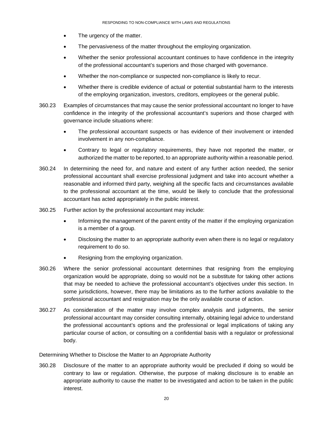- The urgency of the matter.
- The pervasiveness of the matter throughout the employing organization.
- Whether the senior professional accountant continues to have confidence in the integrity of the professional accountant's superiors and those charged with governance.
- Whether the non-compliance or suspected non-compliance is likely to recur.
- Whether there is credible evidence of actual or potential substantial harm to the interests of the employing organization, investors, creditors, employees or the general public.
- 360.23 Examples of circumstances that may cause the senior professional accountant no longer to have confidence in the integrity of the professional accountant's superiors and those charged with governance include situations where:
	- The professional accountant suspects or has evidence of their involvement or intended involvement in any non-compliance.
	- Contrary to legal or regulatory requirements, they have not reported the matter, or authorized the matter to be reported, to an appropriate authority within a reasonable period.
- 360.24 In determining the need for, and nature and extent of any further action needed, the senior professional accountant shall exercise professional judgment and take into account whether a reasonable and informed third party, weighing all the specific facts and circumstances available to the professional accountant at the time, would be likely to conclude that the professional accountant has acted appropriately in the public interest.
- 360.25 Further action by the professional accountant may include:
	- Informing the management of the parent entity of the matter if the employing organization is a member of a group.
	- Disclosing the matter to an appropriate authority even when there is no legal or regulatory requirement to do so.
	- Resigning from the employing organization.
- 360.26 Where the senior professional accountant determines that resigning from the employing organization would be appropriate, doing so would not be a substitute for taking other actions that may be needed to achieve the professional accountant's objectives under this section. In some jurisdictions, however, there may be limitations as to the further actions available to the professional accountant and resignation may be the only available course of action.
- 360.27 As consideration of the matter may involve complex analysis and judgments, the senior professional accountant may consider consulting internally, obtaining legal advice to understand the professional accountant's options and the professional or legal implications of taking any particular course of action, or consulting on a confidential basis with a regulator or professional body.

#### Determining Whether to Disclose the Matter to an Appropriate Authority

360.28 Disclosure of the matter to an appropriate authority would be precluded if doing so would be contrary to law or regulation. Otherwise, the purpose of making disclosure is to enable an appropriate authority to cause the matter to be investigated and action to be taken in the public interest.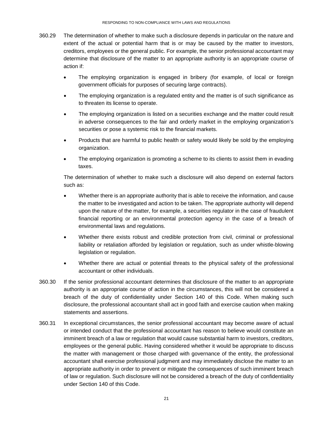- 360.29 The determination of whether to make such a disclosure depends in particular on the nature and extent of the actual or potential harm that is or may be caused by the matter to investors, creditors, employees or the general public. For example, the senior professional accountant may determine that disclosure of the matter to an appropriate authority is an appropriate course of action if:
	- The employing organization is engaged in bribery (for example, of local or foreign government officials for purposes of securing large contracts).
	- The employing organization is a regulated entity and the matter is of such significance as to threaten its license to operate.
	- The employing organization is listed on a securities exchange and the matter could result in adverse consequences to the fair and orderly market in the employing organization's securities or pose a systemic risk to the financial markets.
	- Products that are harmful to public health or safety would likely be sold by the employing organization.
	- The employing organization is promoting a scheme to its clients to assist them in evading taxes.

The determination of whether to make such a disclosure will also depend on external factors such as:

- Whether there is an appropriate authority that is able to receive the information, and cause the matter to be investigated and action to be taken. The appropriate authority will depend upon the nature of the matter, for example, a securities regulator in the case of fraudulent financial reporting or an environmental protection agency in the case of a breach of environmental laws and regulations.
- Whether there exists robust and credible protection from civil, criminal or professional liability or retaliation afforded by legislation or regulation, such as under whistle-blowing legislation or regulation.
- Whether there are actual or potential threats to the physical safety of the professional accountant or other individuals.
- 360.30 If the senior professional accountant determines that disclosure of the matter to an appropriate authority is an appropriate course of action in the circumstances, this will not be considered a breach of the duty of confidentiality under Section 140 of this Code. When making such disclosure, the professional accountant shall act in good faith and exercise caution when making statements and assertions.
- 360.31 In exceptional circumstances, the senior professional accountant may become aware of actual or intended conduct that the professional accountant has reason to believe would constitute an imminent breach of a law or regulation that would cause substantial harm to investors, creditors, employees or the general public. Having considered whether it would be appropriate to discuss the matter with management or those charged with governance of the entity, the professional accountant shall exercise professional judgment and may immediately disclose the matter to an appropriate authority in order to prevent or mitigate the consequences of such imminent breach of law or regulation. Such disclosure will not be considered a breach of the duty of confidentiality under Section 140 of this Code.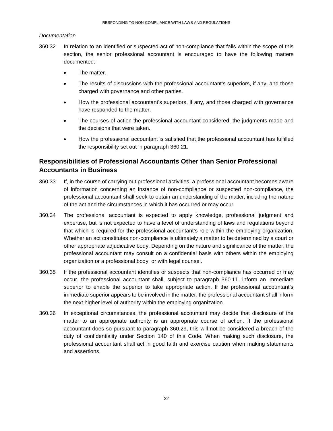#### *Documentation*

- 360.32 In relation to an identified or suspected act of non-compliance that falls within the scope of this section, the senior professional accountant is encouraged to have the following matters documented:
	- The matter.
	- The results of discussions with the professional accountant's superiors, if any, and those charged with governance and other parties.
	- How the professional accountant's superiors, if any, and those charged with governance have responded to the matter.
	- The courses of action the professional accountant considered, the judgments made and the decisions that were taken.
	- How the professional accountant is satisfied that the professional accountant has fulfilled the responsibility set out in paragraph 360.21.

## **Responsibilities of Professional Accountants Other than Senior Professional Accountants in Business**

- 360.33 If, in the course of carrying out professional activities, a professional accountant becomes aware of information concerning an instance of non-compliance or suspected non-compliance, the professional accountant shall seek to obtain an understanding of the matter, including the nature of the act and the circumstances in which it has occurred or may occur.
- 360.34 The professional accountant is expected to apply knowledge, professional judgment and expertise, but is not expected to have a level of understanding of laws and regulations beyond that which is required for the professional accountant's role within the employing organization. Whether an act constitutes non-compliance is ultimately a matter to be determined by a court or other appropriate adjudicative body. Depending on the nature and significance of the matter, the professional accountant may consult on a confidential basis with others within the employing organization or a professional body, or with legal counsel.
- 360.35 If the professional accountant identifies or suspects that non-compliance has occurred or may occur, the professional accountant shall, subject to paragraph 360.11, inform an immediate superior to enable the superior to take appropriate action. If the professional accountant's immediate superior appears to be involved in the matter, the professional accountant shall inform the next higher level of authority within the employing organization.
- 360.36 In exceptional circumstances, the professional accountant may decide that disclosure of the matter to an appropriate authority is an appropriate course of action. If the professional accountant does so pursuant to paragraph 360.29, this will not be considered a breach of the duty of confidentiality under Section 140 of this Code. When making such disclosure, the professional accountant shall act in good faith and exercise caution when making statements and assertions.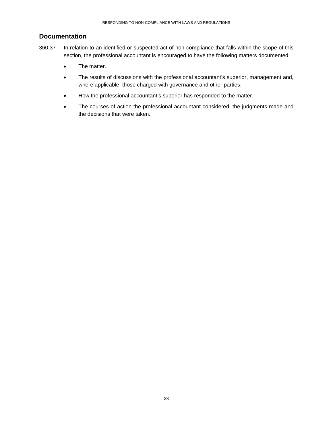## **Documentation**

- 360.37 In relation to an identified or suspected act of non-compliance that falls within the scope of this section, the professional accountant is encouraged to have the following matters documented:
	- The matter.
	- The results of discussions with the professional accountant's superior, management and, where applicable, those charged with governance and other parties.
	- How the professional accountant's superior has responded to the matter.
	- The courses of action the professional accountant considered, the judgments made and the decisions that were taken.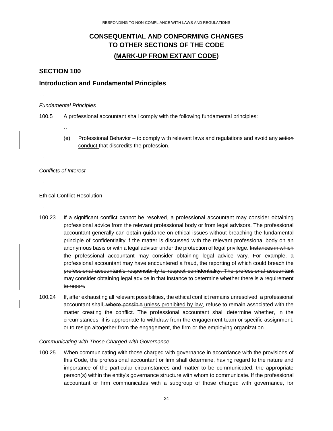## **CONSEQUENTIAL AND CONFORMING CHANGES TO OTHER SECTIONS OF THE CODE (MARK-UP FROM EXTANT CODE)**

#### <span id="page-23-1"></span><span id="page-23-0"></span>**SECTION 100**

### **Introduction and Fundamental Principles**

…

#### *Fundamental Principles*

100.5 A professional accountant shall comply with the following fundamental principles:

…

(e) Professional Behavior – to comply with relevant laws and regulations and avoid any action conduct that discredits the profession.

…

#### *Conflicts of Interest*

…

#### Ethical Conflict Resolution

…

- 100.23 If a significant conflict cannot be resolved, a professional accountant may consider obtaining professional advice from the relevant professional body or from legal advisors. The professional accountant generally can obtain guidance on ethical issues without breaching the fundamental principle of confidentiality if the matter is discussed with the relevant professional body on an anonymous basis or with a legal advisor under the protection of legal privilege. Instances in which the professional accountant may consider obtaining legal advice vary. For example, a professional accountant may have encountered a fraud, the reporting of which could breach the professional accountant's responsibility to respect confidentiality. The professional accountant may consider obtaining legal advice in that instance to determine whether there is a requirement to report.
- 100.24 If, after exhausting all relevant possibilities, the ethical conflict remains unresolved, a professional accountant shall, where possible unless prohibited by law, refuse to remain associated with the matter creating the conflict. The professional accountant shall determine whether, in the circumstances, it is appropriate to withdraw from the engagement team or specific assignment, or to resign altogether from the engagement, the firm or the employing organization.

#### *Communicating with Those Charged with Governance*

100.25 When communicating with those charged with governance in accordance with the provisions of this Code, the professional accountant or firm shall determine, having regard to the nature and importance of the particular circumstances and matter to be communicated, the appropriate person(s) within the entity's governance structure with whom to communicate. If the professional accountant or firm communicates with a subgroup of those charged with governance, for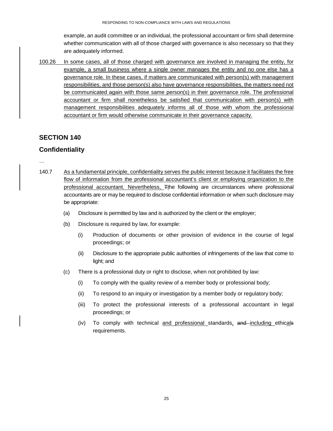example, an audit committee or an individual, the professional accountant or firm shall determine whether communication with all of those charged with governance is also necessary so that they are adequately informed.

100.26 In some cases, all of those charged with governance are involved in managing the entity, for example, a small business where a single owner manages the entity and no one else has a governance role. In these cases, if matters are communicated with person(s) with management responsibilities, and those person(s) also have governance responsibilities, the matters need not be communicated again with those same person(s) in their governance role. The professional accountant or firm shall nonetheless be satisfied that communication with person(s) with management responsibilities adequately informs all of those with whom the professional accountant or firm would otherwise communicate in their governance capacity.

## <span id="page-24-0"></span>**SECTION 140**

#### **Confidentiality**

…

- 140.7 As a fundamental principle, confidentiality serves the public interest because it facilitates the free flow of information from the professional accountant's client or employing organization to the professional accountant. Nevertheless, Tthe following are circumstances where professional accountants are or may be required to disclose confidential information or when such disclosure may be appropriate:
	- (a) Disclosure is permitted by law and is authorized by the client or the employer;
	- (b) Disclosure is required by law, for example:
		- (i) Production of documents or other provision of evidence in the course of legal proceedings; or
		- (ii) Disclosure to the appropriate public authorities of infringements of the law that come to light; and
	- (c) There is a professional duty or right to disclose, when not prohibited by law:
		- (i) To comply with the quality review of a member body or professional body;
		- (ii) To respond to an inquiry or investigation by a member body or regulatory body;
		- (iii) To protect the professional interests of a professional accountant in legal proceedings; or
		- (iv) To comply with technical and professional standards, and including ethicals requirements.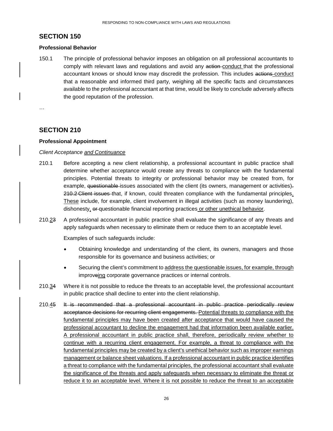### <span id="page-25-0"></span>**SECTION 150**

#### **Professional Behavior**

150.1 The principle of professional behavior imposes an obligation on all professional accountants to comply with relevant laws and regulations and avoid any action-conduct that the professional accountant knows or should know may discredit the profession. This includes actions-conduct that a reasonable and informed third party, weighing all the specific facts and circumstances available to the professional accountant at that time, would be likely to conclude adversely affects the good reputation of the profession.

…

## <span id="page-25-1"></span>**SECTION 210**

#### **Professional Appointment**

#### *Client Acceptance and Continuance*

- 210.1 Before accepting a new client relationship, a professional accountant in public practice shall determine whether acceptance would create any threats to compliance with the fundamental principles. Potential threats to integrity or professional behavior may be created from, for example, questionable issues associated with the client (its owners, management or activities). 210.2 Client issues that, if known, could threaten compliance with the fundamental principles. These include, for example, client involvement in illegal activities (such as money laundering), dishonesty, or questionable financial reporting practices or other unethical behavior.
- 210.23 A professional accountant in public practice shall evaluate the significance of any threats and apply safeguards when necessary to eliminate them or reduce them to an acceptable level.

Examples of such safeguards include:

- Obtaining knowledge and understanding of the client, its owners, managers and those responsible for its governance and business activities; or
- Securing the client's commitment to address the questionable issues, for example, through improveing corporate governance practices or internal controls.
- 210.34 Where it is not possible to reduce the threats to an acceptable level, the professional accountant in public practice shall decline to enter into the client relationship.
- 210.45 It is recommended that a professional accountant in public practice periodically review acceptance decisions for recurring client engagements. Potential threats to compliance with the fundamental principles may have been created after acceptance that would have caused the professional accountant to decline the engagement had that information been available earlier. A professional accountant in public practice shall, therefore, periodically review whether to continue with a recurring client engagement. For example, a threat to compliance with the fundamental principles may be created by a client's unethical behavior such as improper earnings management or balance sheet valuations. If a professional accountant in public practice identifies a threat to compliance with the fundamental principles, the professional accountant shall evaluate the significance of the threats and apply safeguards when necessary to eliminate the threat or reduce it to an acceptable level. Where it is not possible to reduce the threat to an acceptable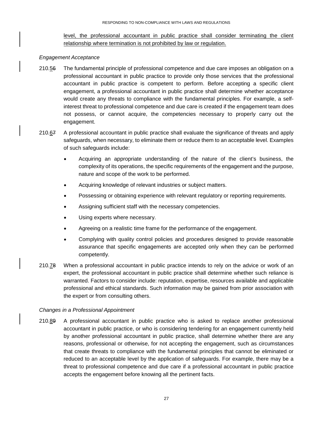level, the professional accountant in public practice shall consider terminating the client relationship where termination is not prohibited by law or regulation.

#### *Engagement Acceptance*

- 210.56 The fundamental principle of professional competence and due care imposes an obligation on a professional accountant in public practice to provide only those services that the professional accountant in public practice is competent to perform. Before accepting a specific client engagement, a professional accountant in public practice shall determine whether acceptance would create any threats to compliance with the fundamental principles. For example, a selfinterest threat to professional competence and due care is created if the engagement team does not possess, or cannot acquire, the competencies necessary to properly carry out the engagement.
- 210.67 A professional accountant in public practice shall evaluate the significance of threats and apply safeguards, when necessary, to eliminate them or reduce them to an acceptable level. Examples of such safeguards include:
	- Acquiring an appropriate understanding of the nature of the client's business, the complexity of its operations, the specific requirements of the engagement and the purpose, nature and scope of the work to be performed.
	- Acquiring knowledge of relevant industries or subject matters.
	- Possessing or obtaining experience with relevant regulatory or reporting requirements.
	- Assigning sufficient staff with the necessary competencies.
	- Using experts where necessary.
	- Agreeing on a realistic time frame for the performance of the engagement.
	- Complying with quality control policies and procedures designed to provide reasonable assurance that specific engagements are accepted only when they can be performed competently.
- 210.78 When a professional accountant in public practice intends to rely on the advice or work of an expert, the professional accountant in public practice shall determine whether such reliance is warranted. Factors to consider include: reputation, expertise, resources available and applicable professional and ethical standards. Such information may be gained from prior association with the expert or from consulting others.

#### *Changes in a Professional Appointment*

210.89 A professional accountant in public practice who is asked to replace another professional accountant in public practice, or who is considering tendering for an engagement currently held by another professional accountant in public practice, shall determine whether there are any reasons, professional or otherwise, for not accepting the engagement, such as circumstances that create threats to compliance with the fundamental principles that cannot be eliminated or reduced to an acceptable level by the application of safeguards. For example, there may be a threat to professional competence and due care if a professional accountant in public practice accepts the engagement before knowing all the pertinent facts.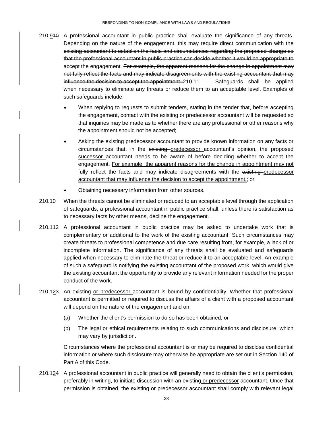- 210.910 A professional accountant in public practice shall evaluate the significance of any threats. Depending on the nature of the engagement, this may require direct communication with the existing accountant to establish the facts and circumstances regarding the proposed change so that the professional accountant in public practice can decide whether it would be appropriate to accept the engagement. For example, the apparent reasons for the change in appointment may not fully reflect the facts and may indicate disagreements with the existing accountant that may influence the decision to accept the appointment. 210.11 Safeguards shall be applied when necessary to eliminate any threats or reduce them to an acceptable level. Examples of such safeguards include:
	- When replying to requests to submit tenders, stating in the tender that, before accepting the engagement, contact with the existing or predecessor accountant will be requested so that inquiries may be made as to whether there are any professional or other reasons why the appointment should not be accepted;
	- Asking the existing predecessor accountant to provide known information on any facts or circumstances that, in the existing predecessor accountant's opinion, the proposed successor accountant needs to be aware of before deciding whether to accept the engagement. For example, the apparent reasons for the change in appointment may not fully reflect the facts and may indicate disagreements with the existing predecessor accountant that may influence the decision to accept the appointment.; or
	- Obtaining necessary information from other sources.
- 210.10 When the threats cannot be eliminated or reduced to an acceptable level through the application of safeguards, a professional accountant in public practice shall, unless there is satisfaction as to necessary facts by other means, decline the engagement.
- 210.112 A professional accountant in public practice may be asked to undertake work that is complementary or additional to the work of the existing accountant. Such circumstances may create threats to professional competence and due care resulting from, for example, a lack of or incomplete information. The significance of any threats shall be evaluated and safeguards applied when necessary to eliminate the threat or reduce it to an acceptable level. An example of such a safeguard is notifying the existing accountant of the proposed work, which would give the existing accountant the opportunity to provide any relevant information needed for the proper conduct of the work.
- 210.123 An existing or predecessor accountant is bound by confidentiality. Whether that professional accountant is permitted or required to discuss the affairs of a client with a proposed accountant will depend on the nature of the engagement and on:
	- (a) Whether the client's permission to do so has been obtained; or
	- (b) The legal or ethical requirements relating to such communications and disclosure, which may vary by jurisdiction.

Circumstances where the professional accountant is or may be required to disclose confidential information or where such disclosure may otherwise be appropriate are set out in Section 140 of Part A of this Code.

210.134 A professional accountant in public practice will generally need to obtain the client's permission, preferably in writing, to initiate discussion with an existing or predecessor accountant. Once that permission is obtained, the existing or predecessor accountant shall comply with relevant legal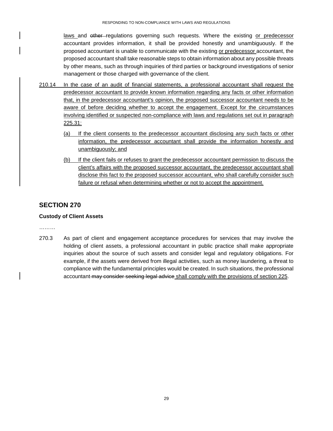laws and other regulations governing such requests. Where the existing or predecessor accountant provides information, it shall be provided honestly and unambiguously. If the proposed accountant is unable to communicate with the existing or predecessor accountant, the proposed accountant shall take reasonable steps to obtain information about any possible threats by other means, such as through inquiries of third parties or background investigations of senior management or those charged with governance of the client.

- 210.14 In the case of an audit of financial statements, a professional accountant shall request the predecessor accountant to provide known information regarding any facts or other information that, in the predecessor accountant's opinion, the proposed successor accountant needs to be aware of before deciding whether to accept the engagement. Except for the circumstances involving identified or suspected non-compliance with laws and regulations set out in paragraph 225.31:
	- (a) If the client consents to the predecessor accountant disclosing any such facts or other information, the predecessor accountant shall provide the information honestly and unambiguously; and
	- (b) If the client fails or refuses to grant the predecessor accountant permission to discuss the client's affairs with the proposed successor accountant, the predecessor accountant shall disclose this fact to the proposed successor accountant, who shall carefully consider such failure or refusal when determining whether or not to accept the appointment.

## <span id="page-28-0"></span>**SECTION 270**

#### **Custody of Client Assets**

………

270.3 As part of client and engagement acceptance procedures for services that may involve the holding of client assets, a professional accountant in public practice shall make appropriate inquiries about the source of such assets and consider legal and regulatory obligations. For example, if the assets were derived from illegal activities, such as money laundering, a threat to compliance with the fundamental principles would be created. In such situations, the professional accountant may consider seeking legal advice shall comply with the provisions of section 225.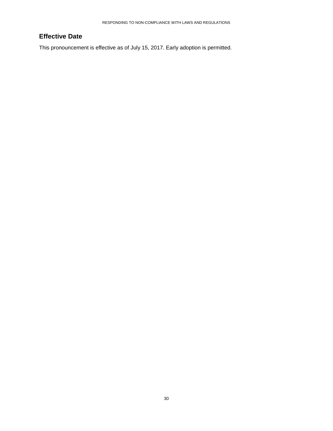## <span id="page-29-0"></span>**Effective Date**

This pronouncement is effective as of July 15, 2017. Early adoption is permitted.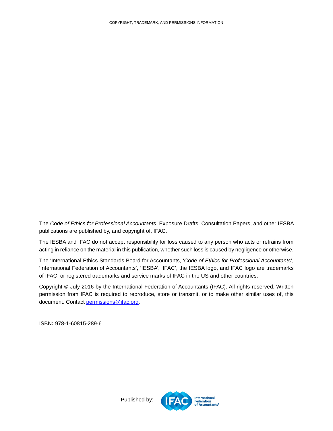<span id="page-30-0"></span>The *Code of Ethics for Professional Accountants*, Exposure Drafts, Consultation Papers, and other IESBA publications are published by, and copyright of, IFAC.

The IESBA and IFAC do not accept responsibility for loss caused to any person who acts or refrains from acting in reliance on the material in this publication, whether such loss is caused by negligence or otherwise.

The 'International Ethics Standards Board for Accountants, '*Code of Ethics for Professional Accountants*', 'International Federation of Accountants', 'IESBA', 'IFAC', the IESBA logo, and IFAC logo are trademarks of IFAC, or registered trademarks and service marks of IFAC in the US and other countries.

Copyright © July 2016 by the International Federation of Accountants (IFAC). All rights reserved. Written permission from IFAC is required to reproduce, store or transmit, or to make other similar uses of, this document. Contact [permissions@ifac.org.](mailto:permissions@ifac.org)

ISBN**:** 978-1-60815-289-6